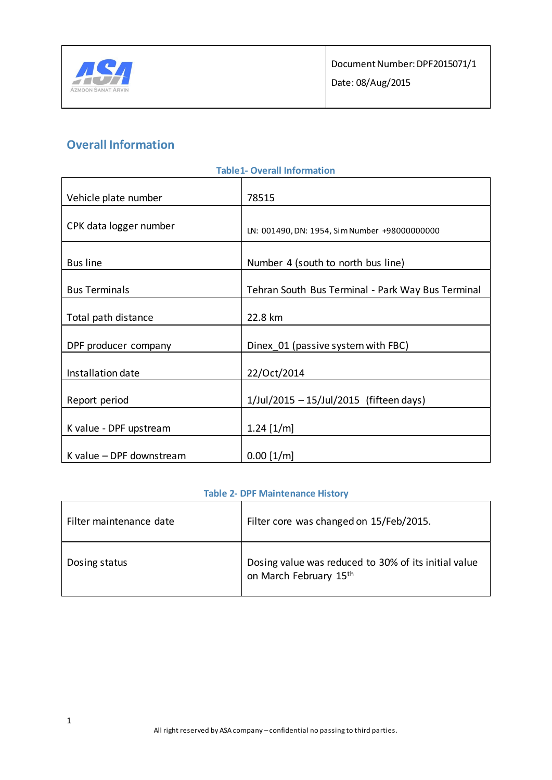

# **Overall Information**

| <b>Table1- Overall Information</b> |                                                   |  |
|------------------------------------|---------------------------------------------------|--|
| Vehicle plate number               | 78515                                             |  |
| CPK data logger number             | LN: 001490, DN: 1954, Sim Number +98000000000     |  |
| <b>Bus line</b>                    | Number 4 (south to north bus line)                |  |
| <b>Bus Terminals</b>               | Tehran South Bus Terminal - Park Way Bus Terminal |  |
| Total path distance                | 22.8 km                                           |  |
| DPF producer company               | Dinex 01 (passive system with FBC)                |  |
| Installation date                  | 22/Oct/2014                                       |  |
| Report period                      | 1/Jul/2015 - 15/Jul/2015 (fifteen days)           |  |
| K value - DPF upstream             | $1.24$ [1/m]                                      |  |
| K value - DPF downstream           | $0.00$ [1/m]                                      |  |

## **Table 2- DPF Maintenance History**

| Filter maintenance date | Filter core was changed on 15/Feb/2015.                                        |
|-------------------------|--------------------------------------------------------------------------------|
| Dosing status           | Dosing value was reduced to 30% of its initial value<br>on March February 15th |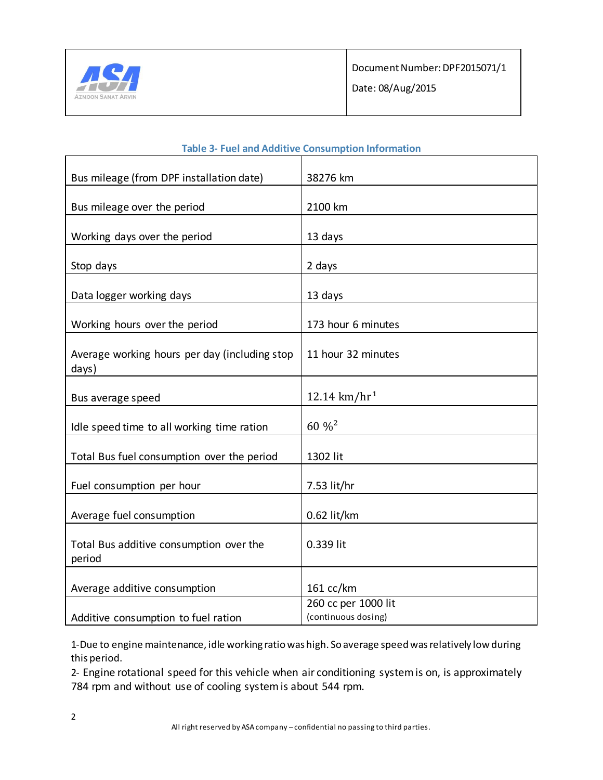

| Bus mileage (from DPF installation date)      | 38276 km                                   |
|-----------------------------------------------|--------------------------------------------|
|                                               |                                            |
| Bus mileage over the period                   | 2100 km                                    |
|                                               |                                            |
| Working days over the period                  | 13 days                                    |
| Stop days                                     | 2 days                                     |
|                                               |                                            |
| Data logger working days                      | 13 days                                    |
|                                               |                                            |
| Working hours over the period                 | 173 hour 6 minutes                         |
| Average working hours per day (including stop | 11 hour 32 minutes                         |
| days)                                         |                                            |
|                                               |                                            |
| Bus average speed                             | 12.14 km/hr <sup>1</sup>                   |
| Idle speed time to all working time ration    | $60\%^2$                                   |
|                                               |                                            |
| Total Bus fuel consumption over the period    | 1302 lit                                   |
|                                               |                                            |
| Fuel consumption per hour                     | 7.53 lit/hr                                |
| Average fuel consumption                      | 0.62 lit/km                                |
|                                               |                                            |
| Total Bus additive consumption over the       | 0.339 lit                                  |
| period                                        |                                            |
|                                               |                                            |
| Average additive consumption                  | $161 \text{ cc/km}$                        |
|                                               | 260 cc per 1000 lit<br>(continuous dosing) |
| Additive consumption to fuel ration           |                                            |

## **Table 3- Fuel and Additive Consumption Information**

1-Due to engine maintenance, idle working ratio was high. So average speed was relatively low during this period.

2- Engine rotational speed for this vehicle when air conditioning system is on, is approximately 784 rpm and without use of cooling system is about 544 rpm.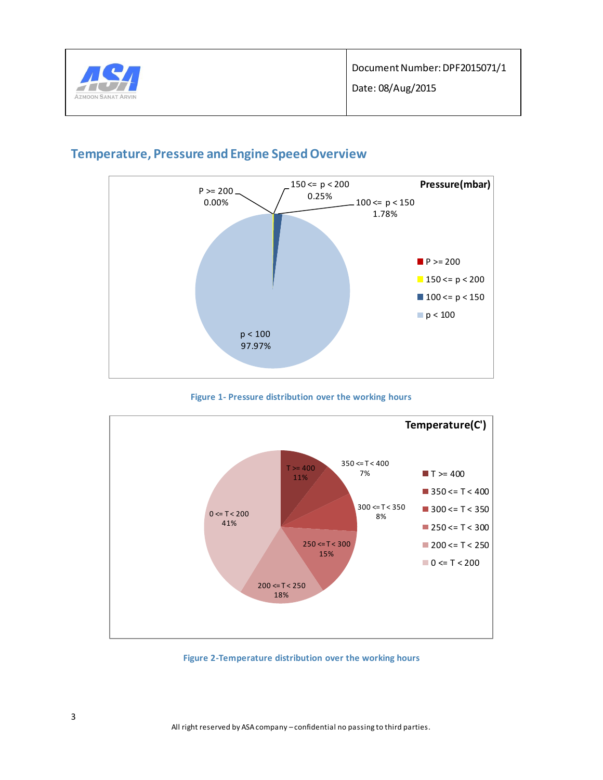



## **Temperature, Pressure and Engine Speed Overview**





**Figure 2-Temperature distribution over the working hours**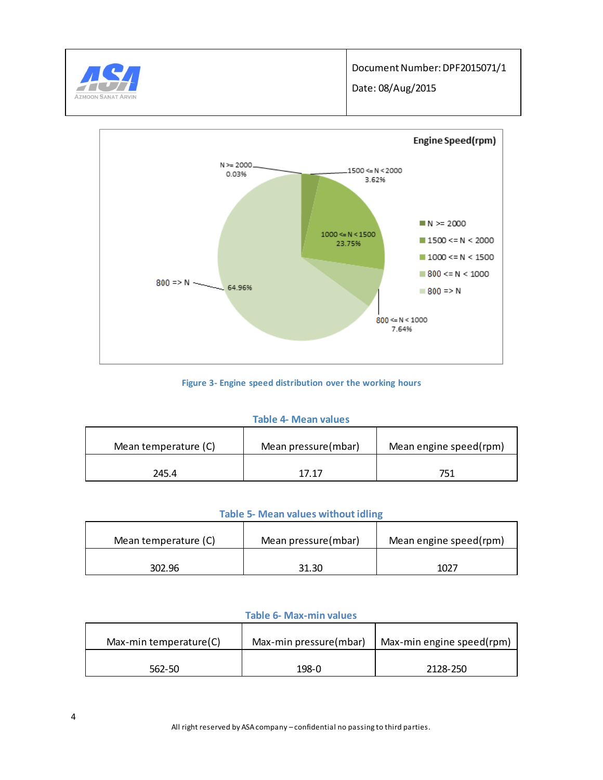



#### **Figure 3- Engine speed distribution over the working hours**

#### **Table 4- Mean values**

| Mean temperature (C) | Mean pressure(mbar) | Mean engine speed(rpm) |
|----------------------|---------------------|------------------------|
| 245.4                | 17 17               |                        |

### **Table 5- Mean values without idling**

| Mean temperature (C) | Mean pressure(mbar) | Mean engine speed(rpm) |
|----------------------|---------------------|------------------------|
| 302.96               | 31.30               | 1027                   |

### **Table 6- Max-min values**

| Max-min temperature(C) | Max-min pressure(mbar) | Max-min engine speed(rpm) |
|------------------------|------------------------|---------------------------|
| 562-50                 | 198-0                  | 2128-250                  |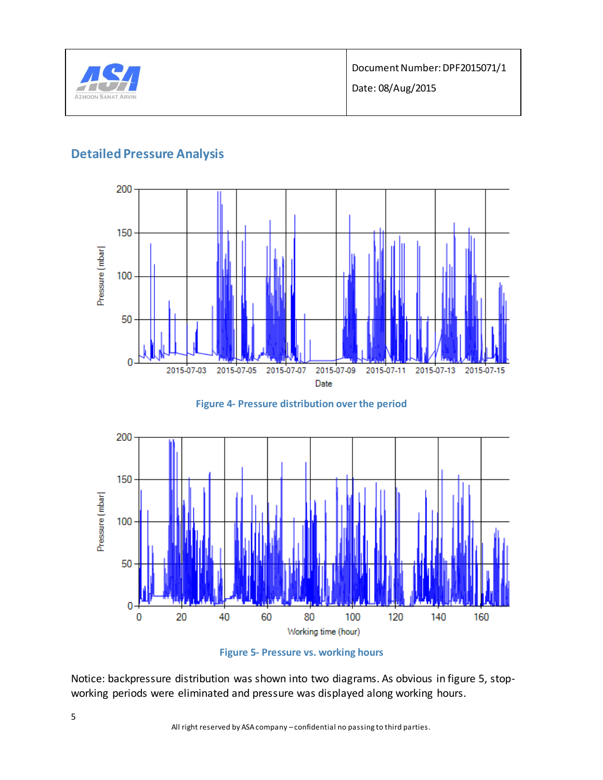

## **Detailed Pressure Analysis**







**Figure 5- Pressure vs. working hours**

Notice: backpressure distribution was shown into two diagrams. As obvious in figure 5, stopworking periods were eliminated and pressure was displayed along working hours.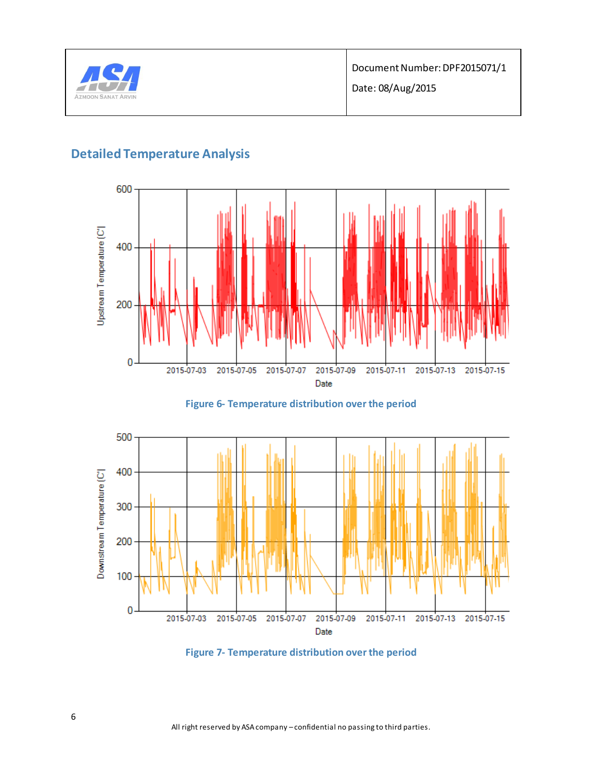

# **Detailed Temperature Analysis**









All right reserved by ASA company – confidential no passing to third parties.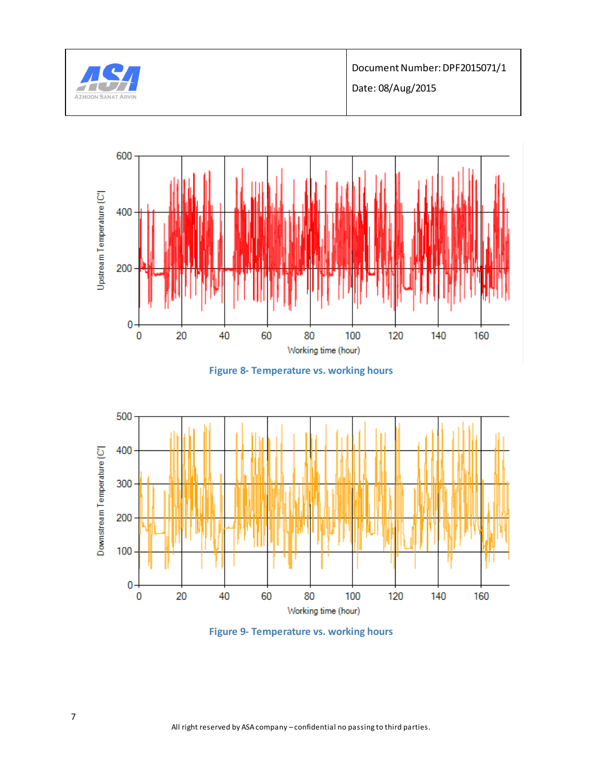

Document Number: DPF2015071/1 Date: 08/Aug/2015



**Figure 8- Temperature vs. working hours**



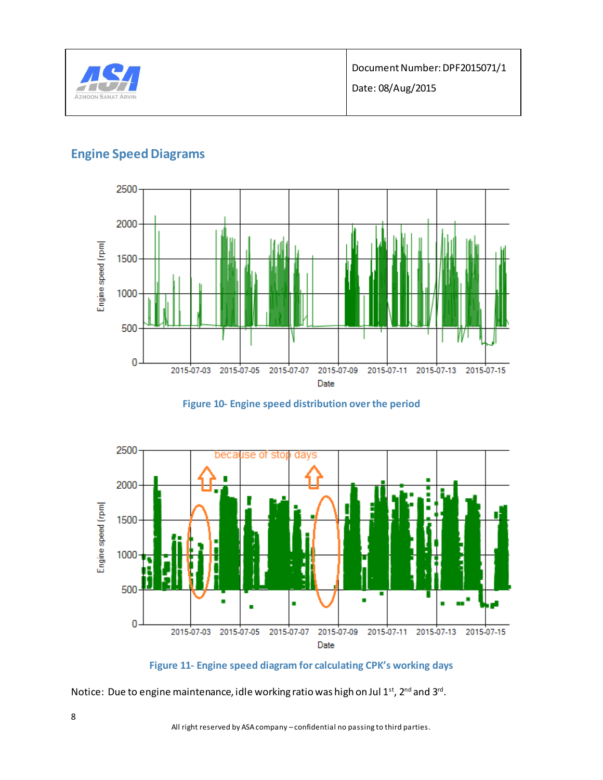

## **Engine Speed Diagrams**









Notice: Due to engine maintenance, idle working ratio was high on Jul 1st, 2<sup>nd</sup> and 3rd.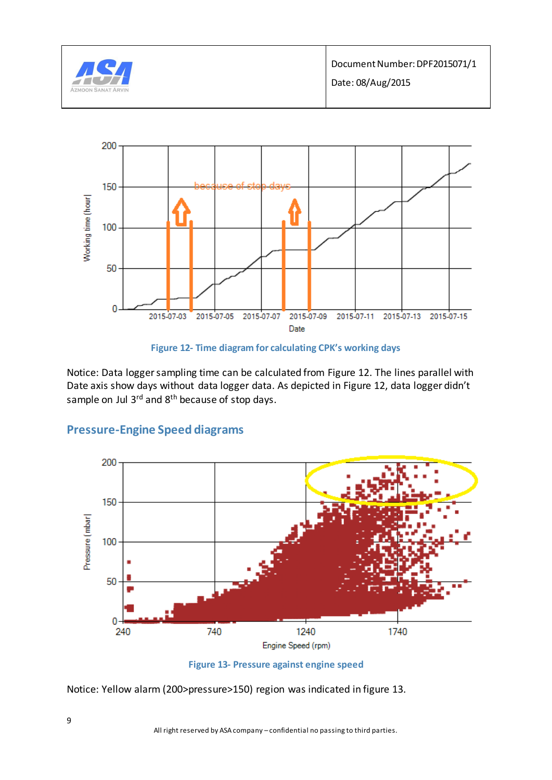





Notice: Data logger sampling time can be calculated from Figure 12. The lines parallel with Date axis show days without data logger data. As depicted in Figure 12, data logger didn't sample on Jul 3<sup>rd</sup> and 8<sup>th</sup> because of stop days.



## **Pressure-Engine Speed diagrams**

Notice: Yellow alarm (200>pressure>150) region was indicated in figure 13.

**Figure 13- Pressure against engine speed**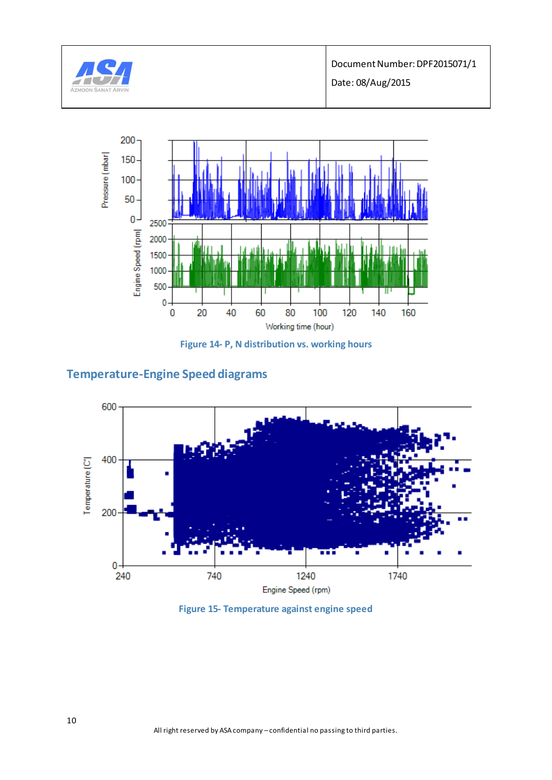



**Figure 14- P, N distribution vs. working hours**

# **Temperature-Engine Speed diagrams**



**Figure 15- Temperature against engine speed**